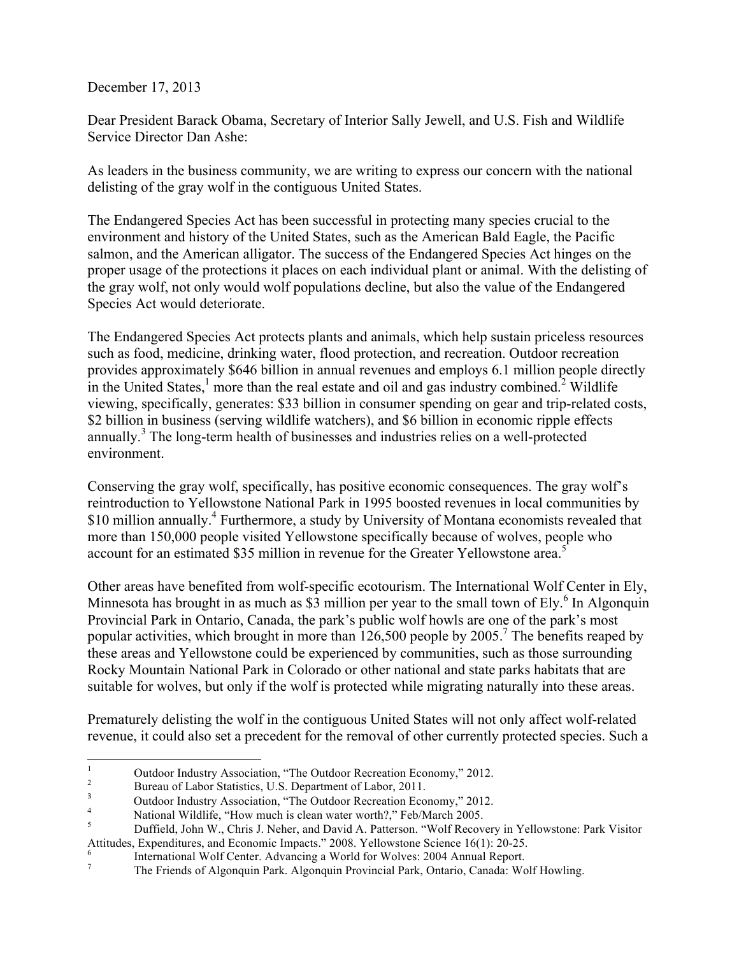December 17, 2013

Dear President Barack Obama, Secretary of Interior Sally Jewell, and U.S. Fish and Wildlife Service Director Dan Ashe:

As leaders in the business community, we are writing to express our concern with the national delisting of the gray wolf in the contiguous United States.

The Endangered Species Act has been successful in protecting many species crucial to the environment and history of the United States, such as the American Bald Eagle, the Pacific salmon, and the American alligator. The success of the Endangered Species Act hinges on the proper usage of the protections it places on each individual plant or animal. With the delisting of the gray wolf, not only would wolf populations decline, but also the value of the Endangered Species Act would deteriorate.

The Endangered Species Act protects plants and animals, which help sustain priceless resources such as food, medicine, drinking water, flood protection, and recreation. Outdoor recreation provides approximately \$646 billion in annual revenues and employs 6.1 million people directly in the United States, $\frac{1}{2}$  more than the real estate and oil and gas industry combined.<sup>2</sup> Wildlife viewing, specifically, generates: \$33 billion in consumer spending on gear and trip-related costs, \$2 billion in business (serving wildlife watchers), and \$6 billion in economic ripple effects annually. <sup>3</sup> The long-term health of businesses and industries relies on a well-protected environment.

Conserving the gray wolf, specifically, has positive economic consequences. The gray wolf's reintroduction to Yellowstone National Park in 1995 boosted revenues in local communities by \$10 million annually.<sup>4</sup> Furthermore, a study by University of Montana economists revealed that more than 150,000 people visited Yellowstone specifically because of wolves, people who account for an estimated \$35 million in revenue for the Greater Yellowstone area.<sup>5</sup>

Other areas have benefited from wolf-specific ecotourism. The International Wolf Center in Ely, Minnesota has brought in as much as \$3 million per year to the small town of Ely.<sup>6</sup> In Algonquin Provincial Park in Ontario, Canada, the park's public wolf howls are one of the park's most popular activities, which brought in more than  $126,500$  people by  $2005$ .<sup>7</sup> The benefits reaped by these areas and Yellowstone could be experienced by communities, such as those surrounding Rocky Mountain National Park in Colorado or other national and state parks habitats that are suitable for wolves, but only if the wolf is protected while migrating naturally into these areas.

Prematurely delisting the wolf in the contiguous United States will not only affect wolf-related revenue, it could also set a precedent for the removal of other currently protected species. Such a

 

<sup>&</sup>lt;sup>1</sup> Outdoor Industry Association, "The Outdoor Recreation Economy," 2012.<br><sup>2</sup> Bureau of Labor Statistics, U.S. Department of Labor, 2011.<br><sup>3</sup> Outdoor Industry Association, "The Outdoor Recreation Economy," 2012.<br><sup>4</sup> Nation

<sup>&</sup>lt;sup>4</sup><br><sup>5</sup> Duffield, John W., Chris J. Neher, and David A. Patterson. "Wolf Recovery in Yellowstone: Park Visitor Attitudes, Expenditures, and Economic Impacts." 2008. Yellowstone Science 16(1): 20-25.<br>
<sup>6</sup><br>
The Friends of Algonquin Park. Algonquin Provincial Park, Ontario, Canada: Wolf Howling.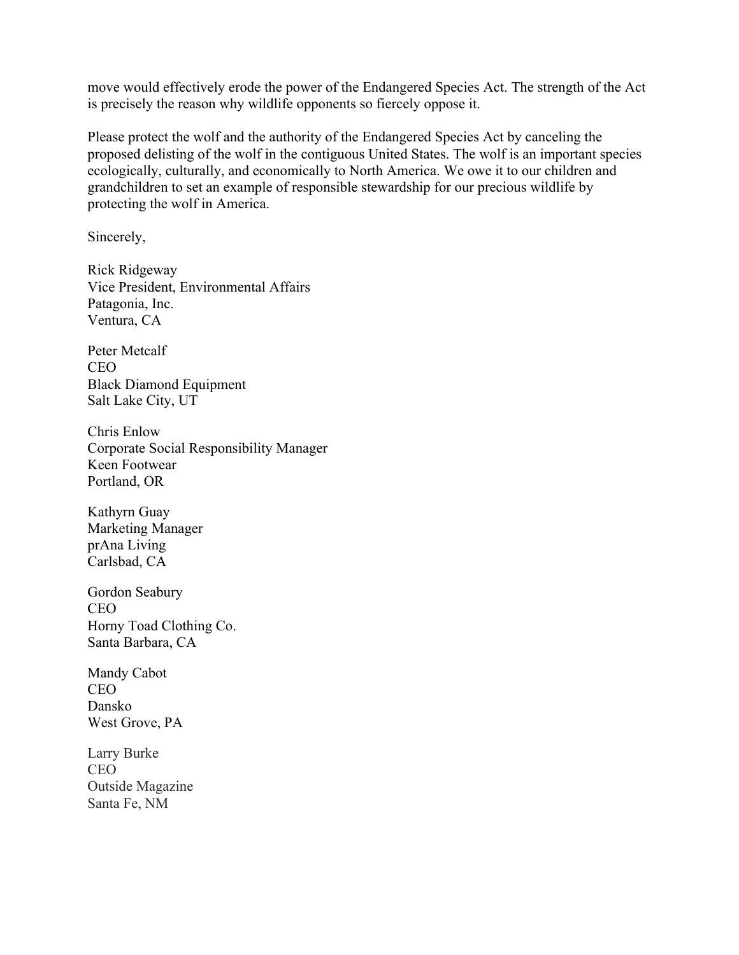move would effectively erode the power of the Endangered Species Act. The strength of the Act is precisely the reason why wildlife opponents so fiercely oppose it.

Please protect the wolf and the authority of the Endangered Species Act by canceling the proposed delisting of the wolf in the contiguous United States. The wolf is an important species ecologically, culturally, and economically to North America. We owe it to our children and grandchildren to set an example of responsible stewardship for our precious wildlife by protecting the wolf in America.

Sincerely,

Rick Ridgeway Vice President, Environmental Affairs Patagonia, Inc. Ventura, CA

Peter Metcalf CEO Black Diamond Equipment Salt Lake City, UT

Chris Enlow Corporate Social Responsibility Manager Keen Footwear Portland, OR

Kathyrn Guay Marketing Manager prAna Living Carlsbad, CA

Gordon Seabury CEO Horny Toad Clothing Co. Santa Barbara, CA

Mandy Cabot CEO Dansko West Grove, PA

Larry Burke CEO Outside Magazine Santa Fe, NM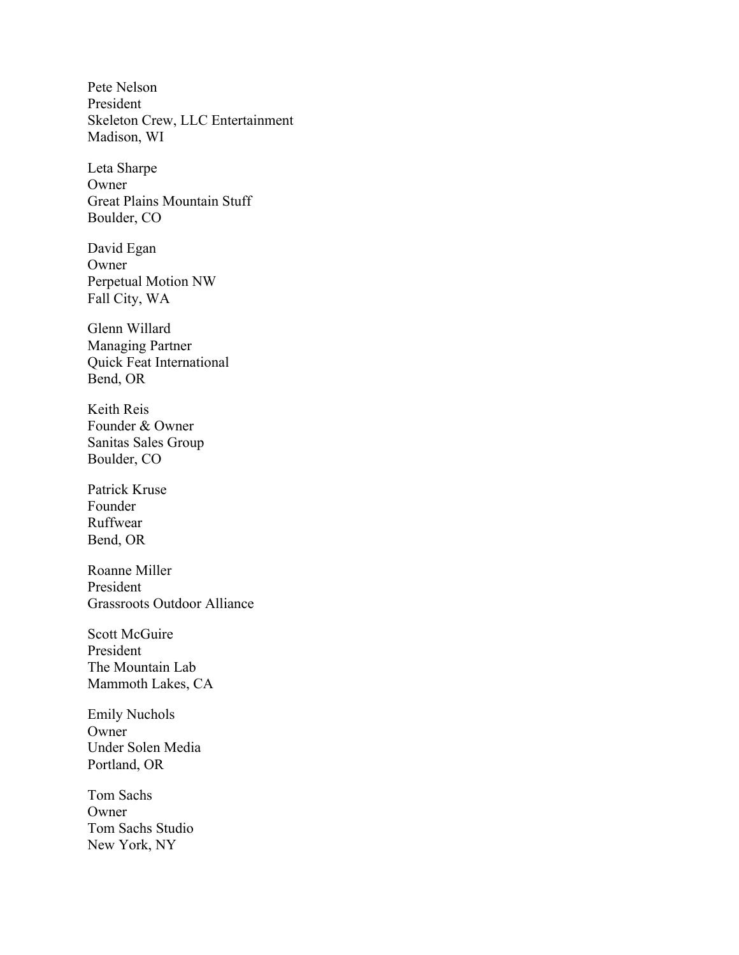Pete Nelson President Skeleton Crew, LLC Entertainment Madison, WI

Leta Sharpe Owner Great Plains Mountain Stuff Boulder, CO

David Egan Owner Perpetual Motion NW Fall City, WA

Glenn Willard Managing Partner Quick Feat International Bend, OR

Keith Reis Founder & Owner Sanitas Sales Group Boulder, CO

Patrick Kruse Founder Ruffwear Bend, OR

Roanne Miller President Grassroots Outdoor Alliance

Scott McGuire President The Mountain Lab Mammoth Lakes, CA

Emily Nuchols Owner Under Solen Media Portland, OR

Tom Sachs **Owner** Tom Sachs Studio New York, NY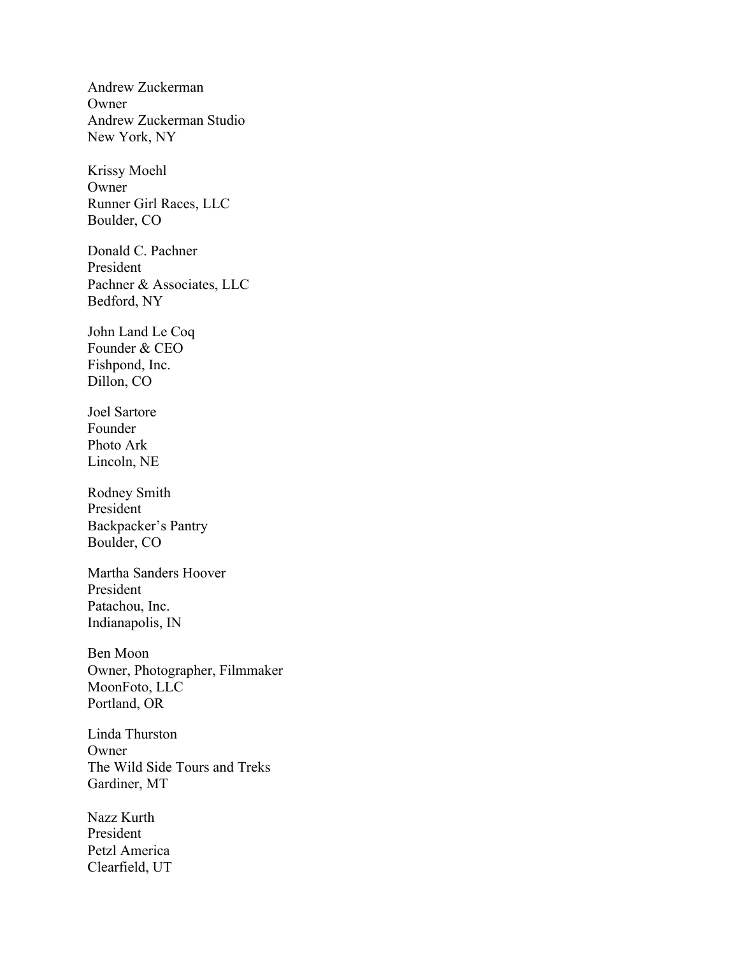Andrew Zuckerman Owner Andrew Zuckerman Studio New York, NY

Krissy Moehl Owner Runner Girl Races, LLC Boulder, CO

Donald C. Pachner President Pachner & Associates, LLC Bedford, NY

John Land Le Coq Founder & CEO Fishpond, Inc. Dillon, CO

Joel Sartore Founder Photo Ark Lincoln, NE

Rodney Smith President Backpacker's Pantry Boulder, CO

Martha Sanders Hoover President Patachou, Inc. Indianapolis, IN

Ben Moon Owner, Photographer, Filmmaker MoonFoto, LLC Portland, OR

Linda Thurston Owner The Wild Side Tours and Treks Gardiner, MT

Nazz Kurth President Petzl America Clearfield, UT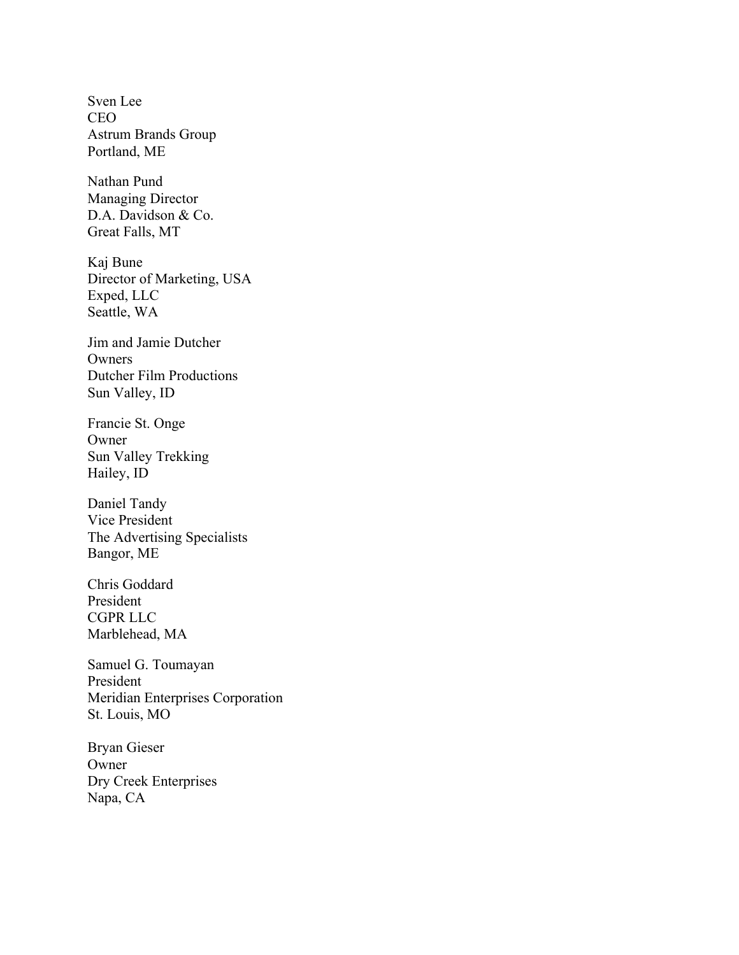Sven Lee CEO Astrum Brands Group Portland, ME

Nathan Pund Managing Director D.A. Davidson & Co. Great Falls, MT

Kaj Bune Director of Marketing, USA Exped, LLC Seattle, WA

Jim and Jamie Dutcher Owners Dutcher Film Productions Sun Valley, ID

Francie St. Onge Owner Sun Valley Trekking Hailey, ID

Daniel Tandy Vice President The Advertising Specialists Bangor, ME

Chris Goddard President CGPR LLC Marblehead, MA

Samuel G. Toumayan President Meridian Enterprises Corporation St. Louis, MO

Bryan Gieser Owner Dry Creek Enterprises Napa, CA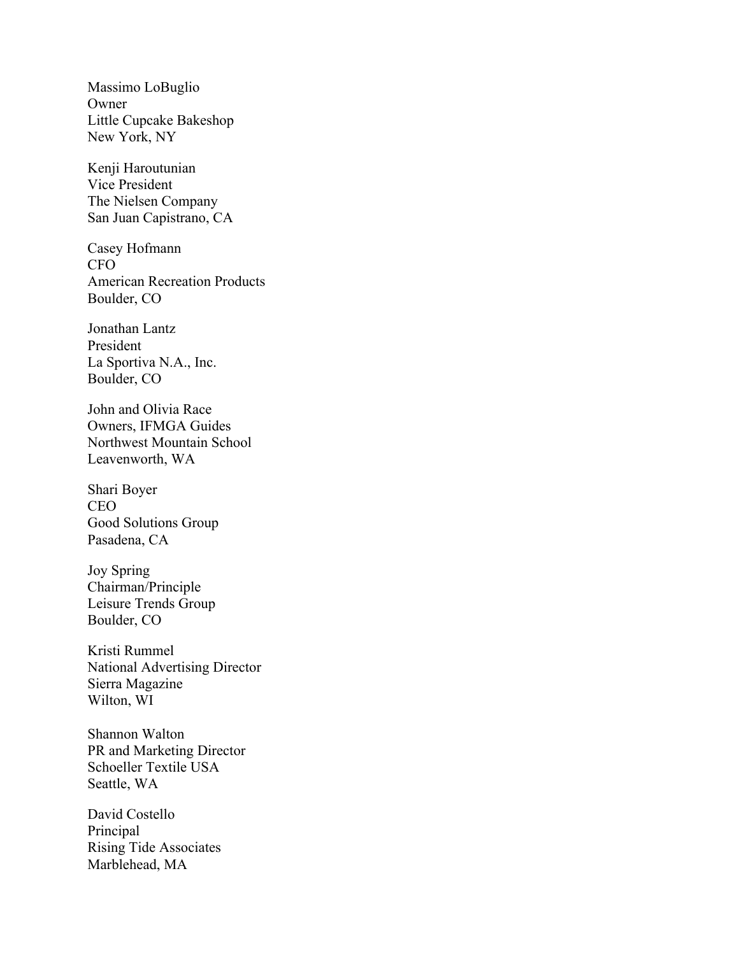Massimo LoBuglio Owner Little Cupcake Bakeshop New York, NY

Kenji Haroutunian Vice President The Nielsen Company San Juan Capistrano, CA

Casey Hofmann CFO American Recreation Products Boulder, CO

Jonathan Lantz President La Sportiva N.A., Inc. Boulder, CO

John and Olivia Race Owners, IFMGA Guides Northwest Mountain School Leavenworth, WA

Shari Boyer CEO Good Solutions Group Pasadena, CA

Joy Spring Chairman/Principle Leisure Trends Group Boulder, CO

Kristi Rummel National Advertising Director Sierra Magazine Wilton, WI

Shannon Walton PR and Marketing Director Schoeller Textile USA Seattle, WA

David Costello Principal Rising Tide Associates Marblehead, MA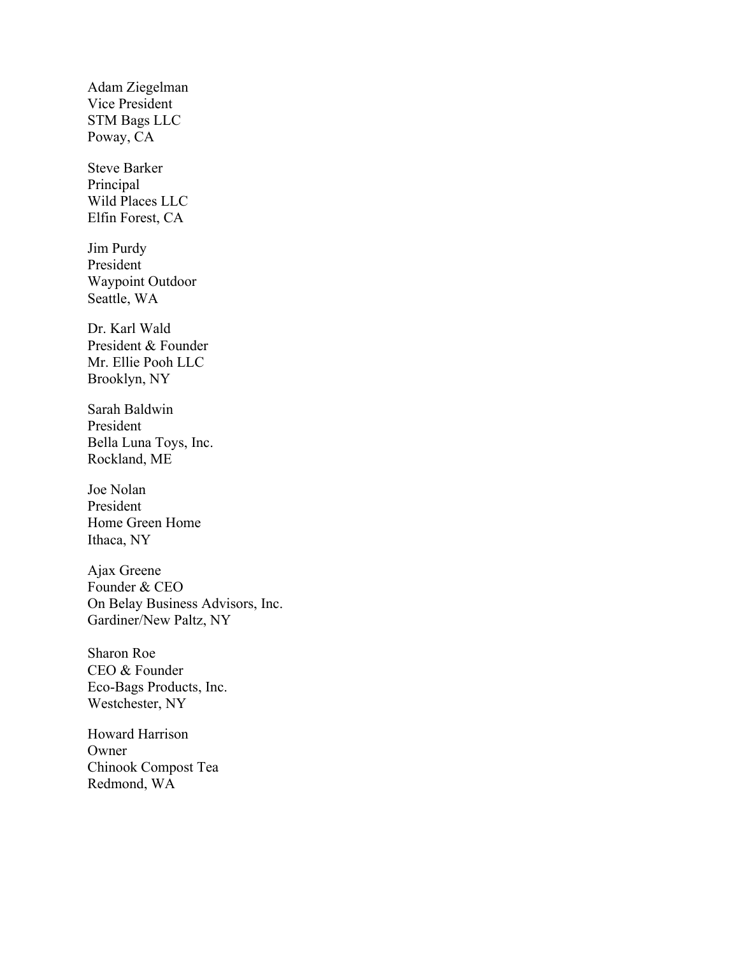Adam Ziegelman Vice President STM Bags LLC Poway, CA

Steve Barker Principal Wild Places LLC Elfin Forest, CA

Jim Purdy President Waypoint Outdoor Seattle, WA

Dr. Karl Wald President & Founder Mr. Ellie Pooh LLC Brooklyn, NY

Sarah Baldwin President Bella Luna Toys, Inc. Rockland, ME

Joe Nolan President Home Green Home Ithaca, NY

Ajax Greene Founder & CEO On Belay Business Advisors, Inc. Gardiner/New Paltz, NY

Sharon Roe CEO & Founder Eco-Bags Products, Inc. Westchester, NY

Howard Harrison Owner Chinook Compost Tea Redmond, WA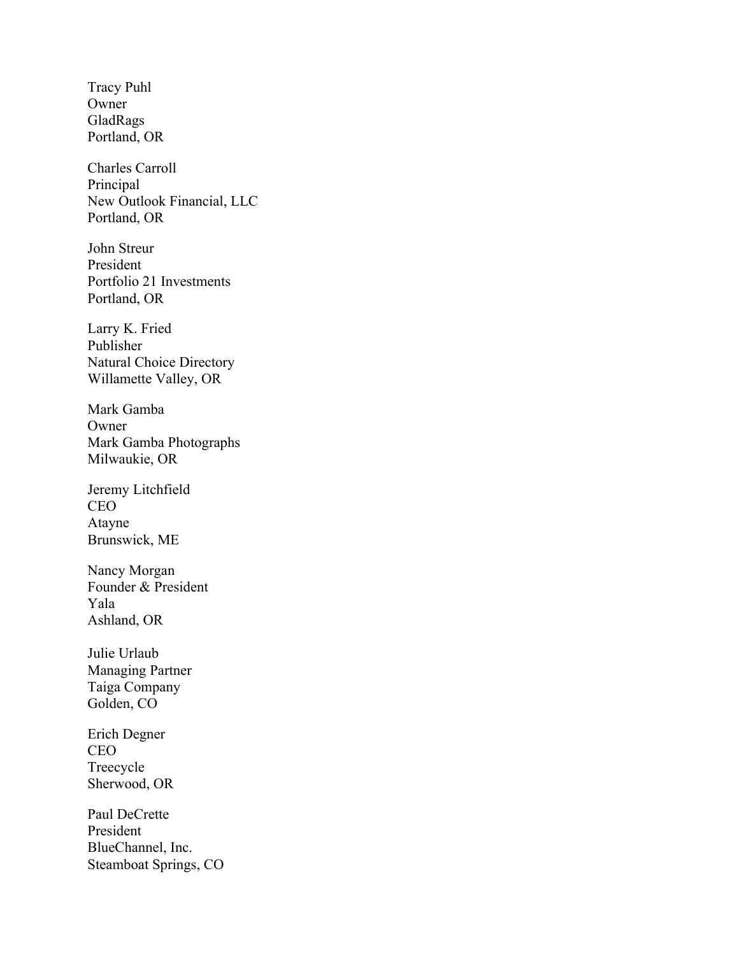Tracy Puhl Owner GladRags Portland, OR

Charles Carroll Principal New Outlook Financial, LLC Portland, OR

John Streur President Portfolio 21 Investments Portland, OR

Larry K. Fried Publisher Natural Choice Directory Willamette Valley, OR

Mark Gamba Owner Mark Gamba Photographs Milwaukie, OR

Jeremy Litchfield CEO Atayne Brunswick, ME

Nancy Morgan Founder & President Yala Ashland, OR

Julie Urlaub Managing Partner Taiga Company Golden, CO

Erich Degner CEO Treecycle Sherwood, OR

Paul DeCrette President BlueChannel, Inc. Steamboat Springs, CO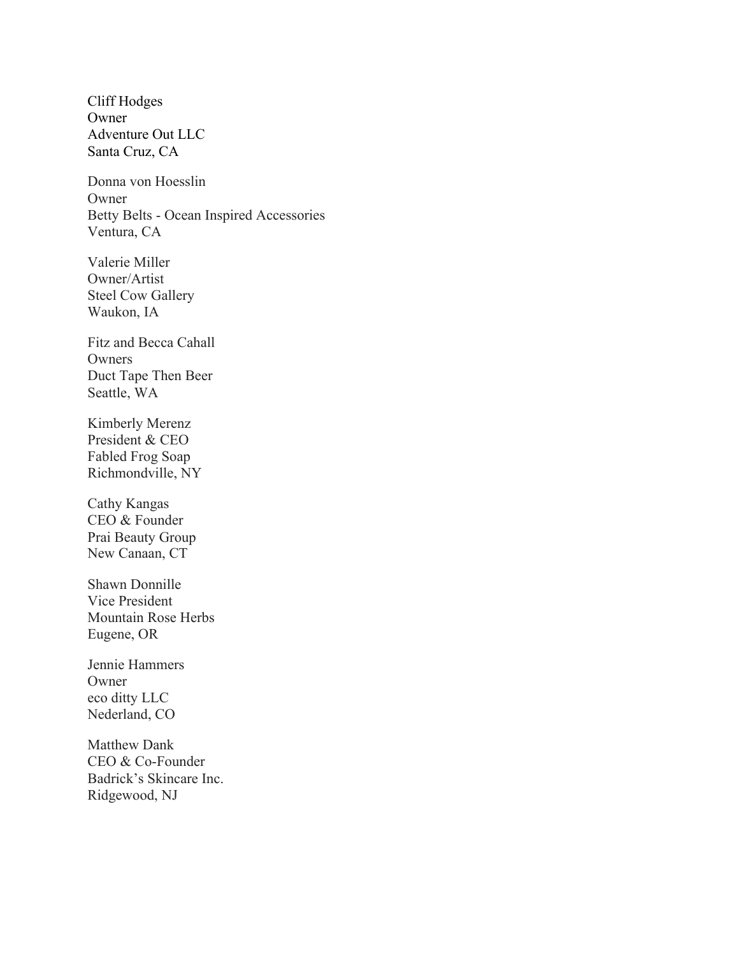Cliff Hodges Owner Adventure Out LLC Santa Cruz, CA

Donna von Hoesslin Owner Betty Belts - Ocean Inspired Accessories Ventura, CA

Valerie Miller Owner/Artist Steel Cow Gallery Waukon, IA

Fitz and Becca Cahall Owners Duct Tape Then Beer Seattle, WA

Kimberly Merenz President & CEO Fabled Frog Soap Richmondville, NY

Cathy Kangas CEO & Founder Prai Beauty Group New Canaan, CT

Shawn Donnille Vice President Mountain Rose Herbs Eugene, OR

Jennie Hammers Owner eco ditty LLC Nederland, CO

Matthew Dank CEO & Co-Founder Badrick's Skincare Inc. Ridgewood, NJ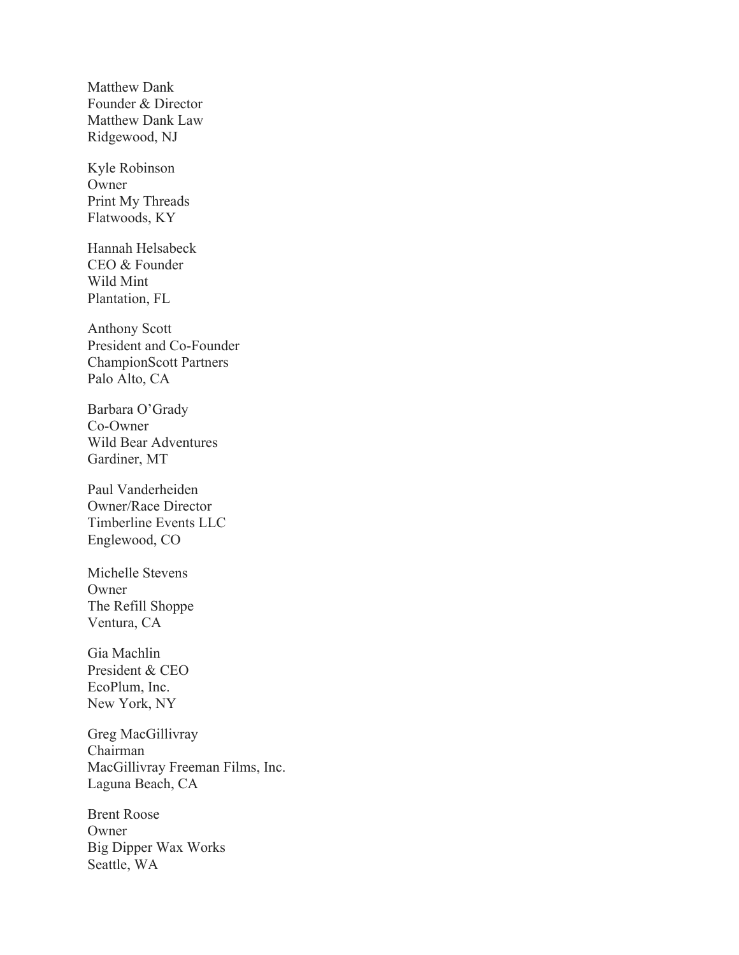Matthew Dank Founder & Director Matthew Dank Law Ridgewood, NJ

Kyle Robinson Owner Print My Threads Flatwoods, KY

Hannah Helsabeck CEO & Founder Wild Mint Plantation, FL

Anthony Scott President and Co-Founder ChampionScott Partners Palo Alto, CA

Barbara O'Grady Co-Owner Wild Bear Adventures Gardiner, MT

Paul Vanderheiden Owner/Race Director Timberline Events LLC Englewood, CO

Michelle Stevens **Owner** The Refill Shoppe Ventura, CA

Gia Machlin President & CEO EcoPlum, Inc. New York, NY

Greg MacGillivray Chairman MacGillivray Freeman Films, Inc. Laguna Beach, CA

Brent Roose Owner Big Dipper Wax Works Seattle, WA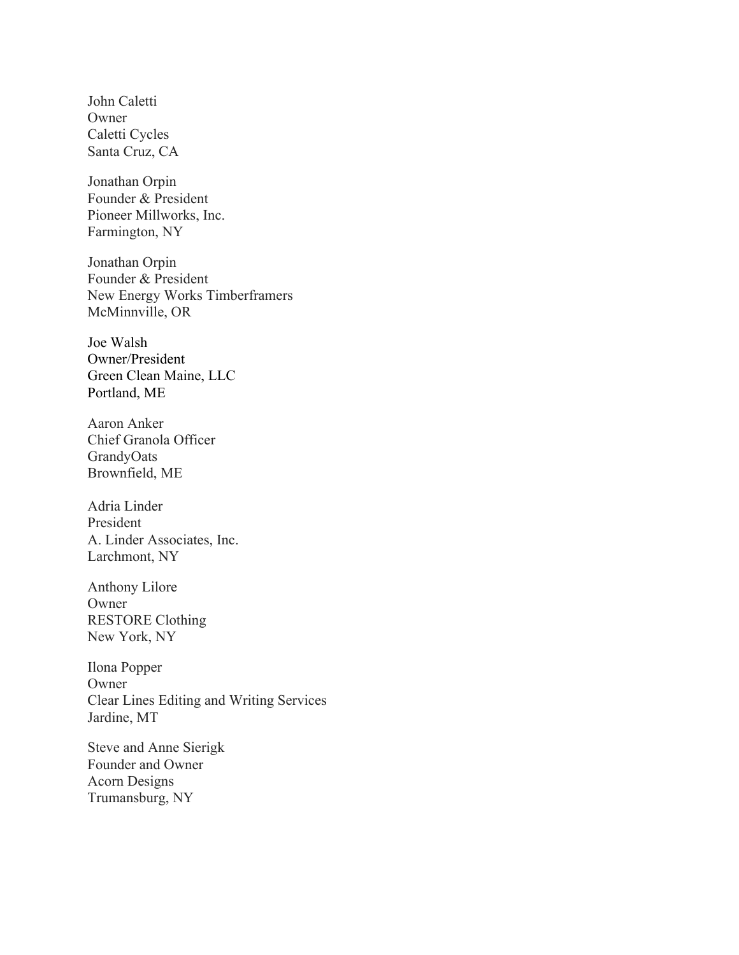John Caletti Owner Caletti Cycles Santa Cruz, CA

Jonathan Orpin Founder & President Pioneer Millworks, Inc. Farmington, NY

Jonathan Orpin Founder & President New Energy Works Timberframers McMinnville, OR

Joe Walsh Owner/President Green Clean Maine, LLC Portland, ME

Aaron Anker Chief Granola Officer GrandyOats Brownfield, ME

Adria Linder President A. Linder Associates, Inc. Larchmont, NY

Anthony Lilore Owner RESTORE Clothing New York, NY

Ilona Popper Owner Clear Lines Editing and Writing Services Jardine, MT

Steve and Anne Sierigk Founder and Owner Acorn Designs Trumansburg, NY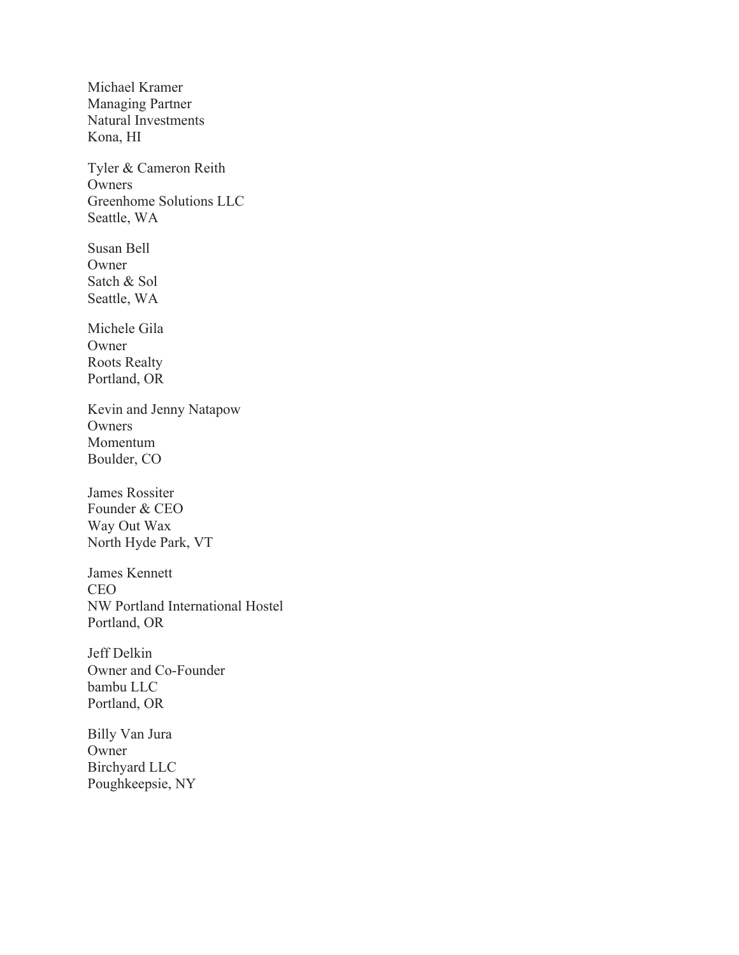Michael Kramer Managing Partner Natural Investments Kona, HI

Tyler & Cameron Reith **Owners** Greenhome Solutions LLC Seattle, WA

Susan Bell Owner Satch & Sol Seattle, WA

Michele Gila Owner Roots Realty Portland, OR

Kevin and Jenny Natapow **Owners** Momentum Boulder, CO

James Rossiter Founder & CEO Way Out Wax North Hyde Park, VT

James Kennett CEO NW Portland International Hostel Portland, OR

Jeff Delkin Owner and Co-Founder bambu LLC Portland, OR

Billy Van Jura Owner Birchyard LLC Poughkeepsie, NY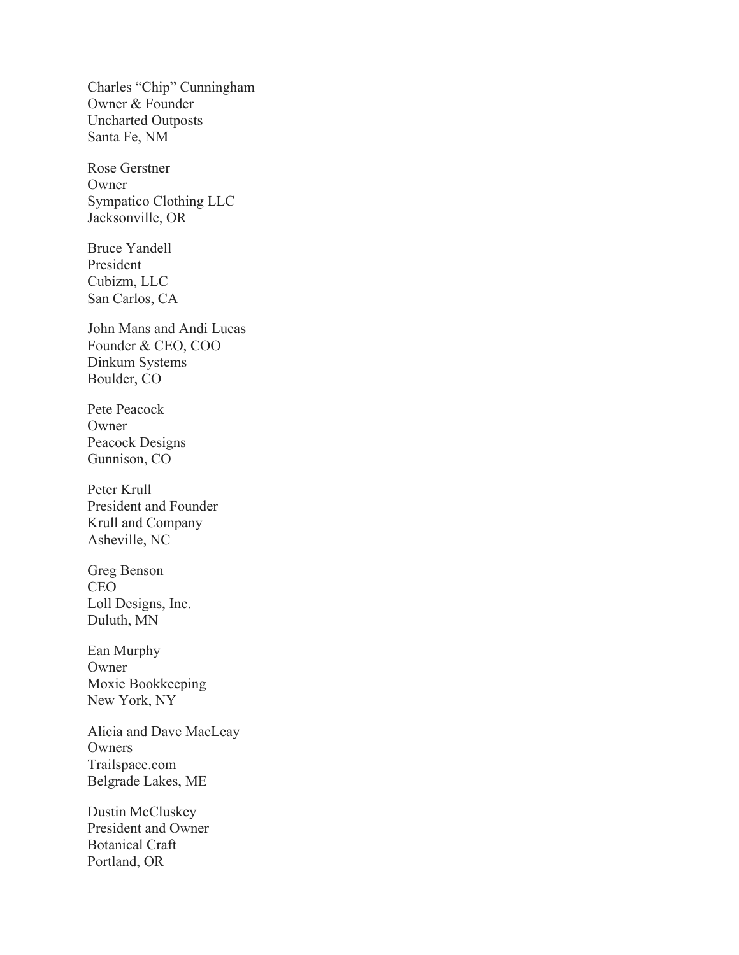Charles "Chip" Cunningham Owner & Founder Uncharted Outposts Santa Fe, NM

Rose Gerstner **Owner** Sympatico Clothing LLC Jacksonville, OR

Bruce Yandell President Cubizm, LLC San Carlos, CA

John Mans and Andi Lucas Founder & CEO, COO Dinkum Systems Boulder, CO

Pete Peacock Owner Peacock Designs Gunnison, CO

Peter Krull President and Founder Krull and Company Asheville, NC

Greg Benson CEO Loll Designs, Inc. Duluth, MN

Ean Murphy Owner Moxie Bookkeeping New York, NY

Alicia and Dave MacLeay Owners Trailspace.com Belgrade Lakes, ME

Dustin McCluskey President and Owner Botanical Craft Portland, OR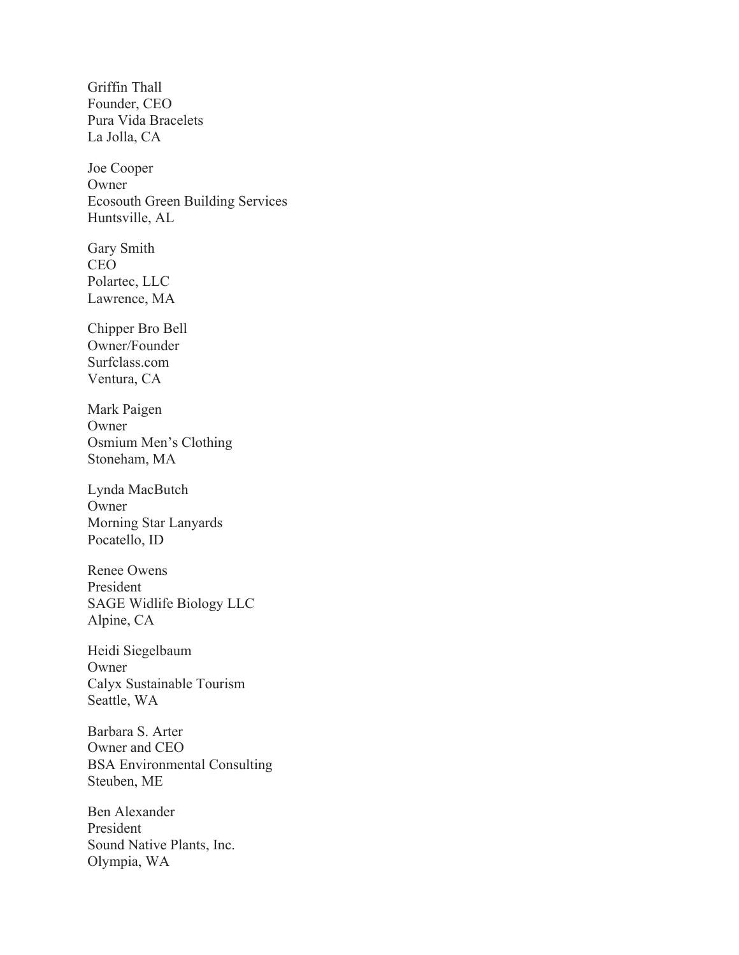Griffin Thall Founder, CEO Pura Vida Bracelets La Jolla, CA

Joe Cooper **Owner** Ecosouth Green Building Services Huntsville, AL

Gary Smith CEO Polartec, LLC Lawrence, MA

Chipper Bro Bell Owner/Founder Surfclass.com Ventura, CA

Mark Paigen Owner Osmium Men's Clothing Stoneham, MA

Lynda MacButch **Owner** Morning Star Lanyards Pocatello, ID

Renee Owens President SAGE Widlife Biology LLC Alpine, CA

Heidi Siegelbaum Owner Calyx Sustainable Tourism Seattle, WA

Barbara S. Arter Owner and CEO BSA Environmental Consulting Steuben, ME

Ben Alexander President Sound Native Plants, Inc. Olympia, WA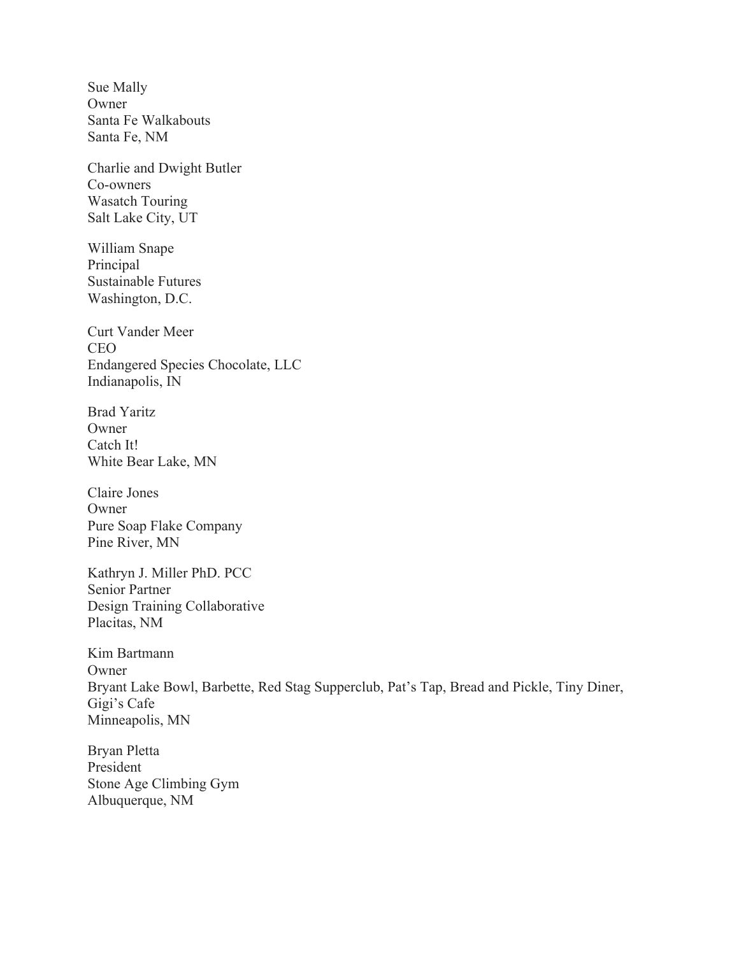Sue Mally Owner Santa Fe Walkabouts Santa Fe, NM

Charlie and Dwight Butler Co-owners Wasatch Touring Salt Lake City, UT

William Snape Principal Sustainable Futures Washington, D.C.

Curt Vander Meer CEO Endangered Species Chocolate, LLC Indianapolis, IN

Brad Yaritz **Owner** Catch It! White Bear Lake, MN

Claire Jones Owner Pure Soap Flake Company Pine River, MN

Kathryn J. Miller PhD. PCC Senior Partner Design Training Collaborative Placitas, NM

Kim Bartmann Owner Bryant Lake Bowl, Barbette, Red Stag Supperclub, Pat's Tap, Bread and Pickle, Tiny Diner, Gigi's Cafe Minneapolis, MN

Bryan Pletta President Stone Age Climbing Gym Albuquerque, NM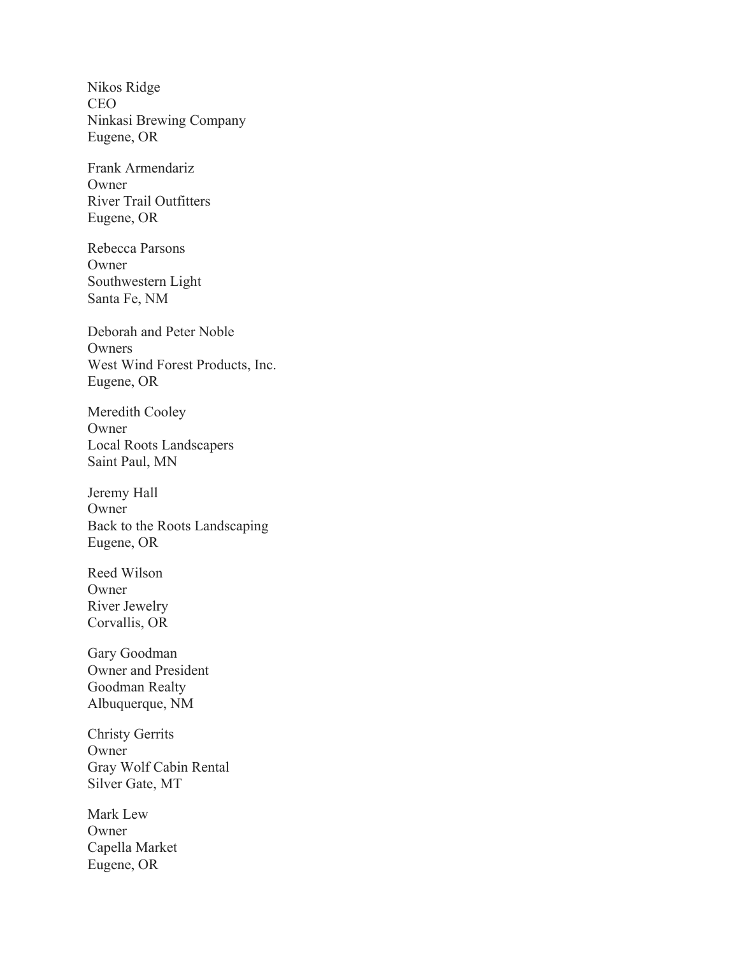Nikos Ridge CEO Ninkasi Brewing Company Eugene, OR

Frank Armendariz **Owner** River Trail Outfitters Eugene, OR

Rebecca Parsons Owner Southwestern Light Santa Fe, NM

Deborah and Peter Noble **Owners** West Wind Forest Products, Inc. Eugene, OR

Meredith Cooley Owner Local Roots Landscapers Saint Paul, MN

Jeremy Hall Owner Back to the Roots Landscaping Eugene, OR

Reed Wilson **Owner** River Jewelry Corvallis, OR

Gary Goodman Owner and President Goodman Realty Albuquerque, NM

Christy Gerrits Owner Gray Wolf Cabin Rental Silver Gate, MT

Mark Lew Owner Capella Market Eugene, OR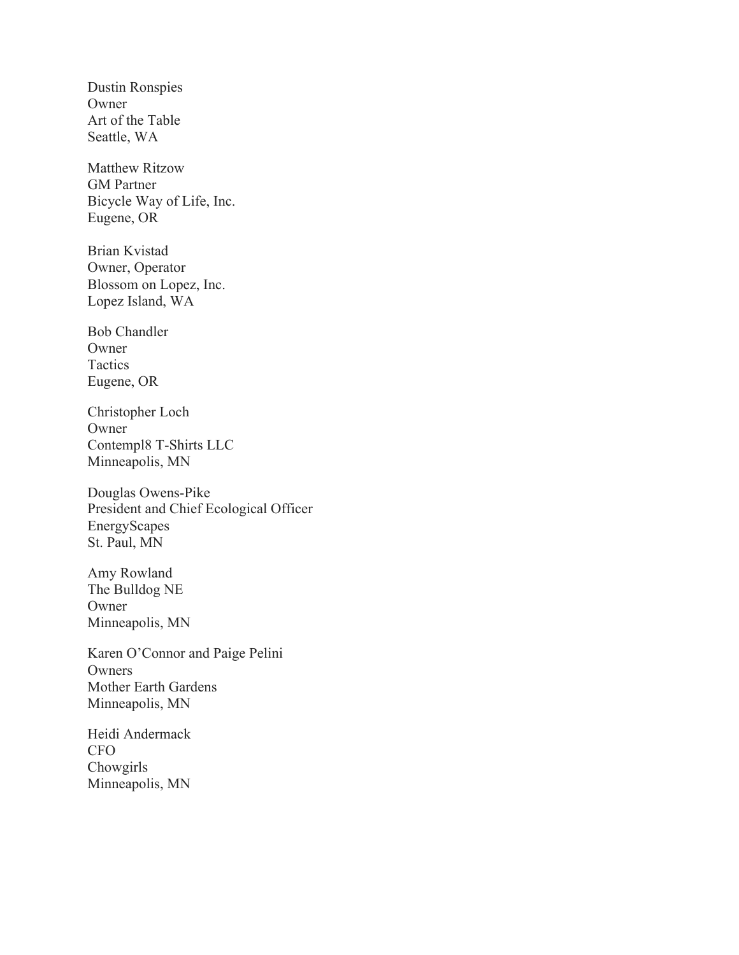Dustin Ronspies Owner Art of the Table Seattle, WA

Matthew Ritzow GM Partner Bicycle Way of Life, Inc. Eugene, OR

Brian Kvistad Owner, Operator Blossom on Lopez, Inc. Lopez Island, WA

Bob Chandler Owner Tactics Eugene, OR

Christopher Loch Owner Contempl8 T-Shirts LLC Minneapolis, MN

Douglas Owens-Pike President and Chief Ecological Officer EnergyScapes St. Paul, MN

Amy Rowland The Bulldog NE Owner Minneapolis, MN

Karen O'Connor and Paige Pelini **Owners** Mother Earth Gardens Minneapolis, MN

Heidi Andermack CFO Chowgirls Minneapolis, MN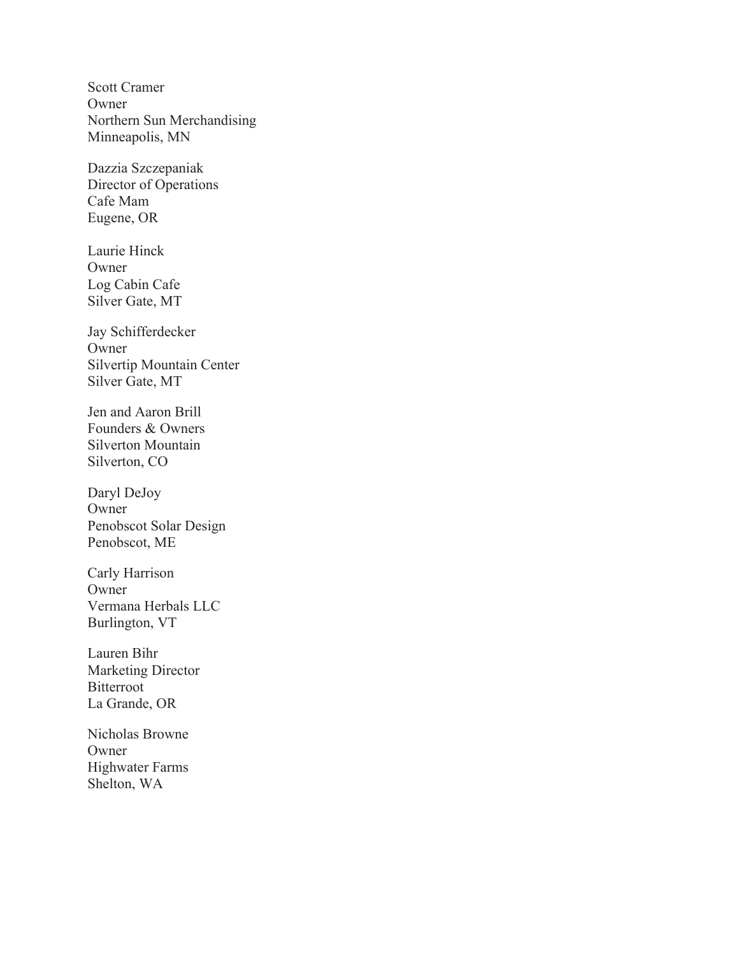Scott Cramer Owner Northern Sun Merchandising Minneapolis, MN

Dazzia Szczepaniak Director of Operations Cafe Mam Eugene, OR

Laurie Hinck **Owner** Log Cabin Cafe Silver Gate, MT

Jay Schifferdecker Owner Silvertip Mountain Center Silver Gate, MT

Jen and Aaron Brill Founders & Owners Silverton Mountain Silverton, CO

Daryl DeJoy Owner Penobscot Solar Design Penobscot, ME

Carly Harrison **Owner** Vermana Herbals LLC Burlington, VT

Lauren Bihr Marketing Director Bitterroot La Grande, OR

Nicholas Browne Owner Highwater Farms Shelton, WA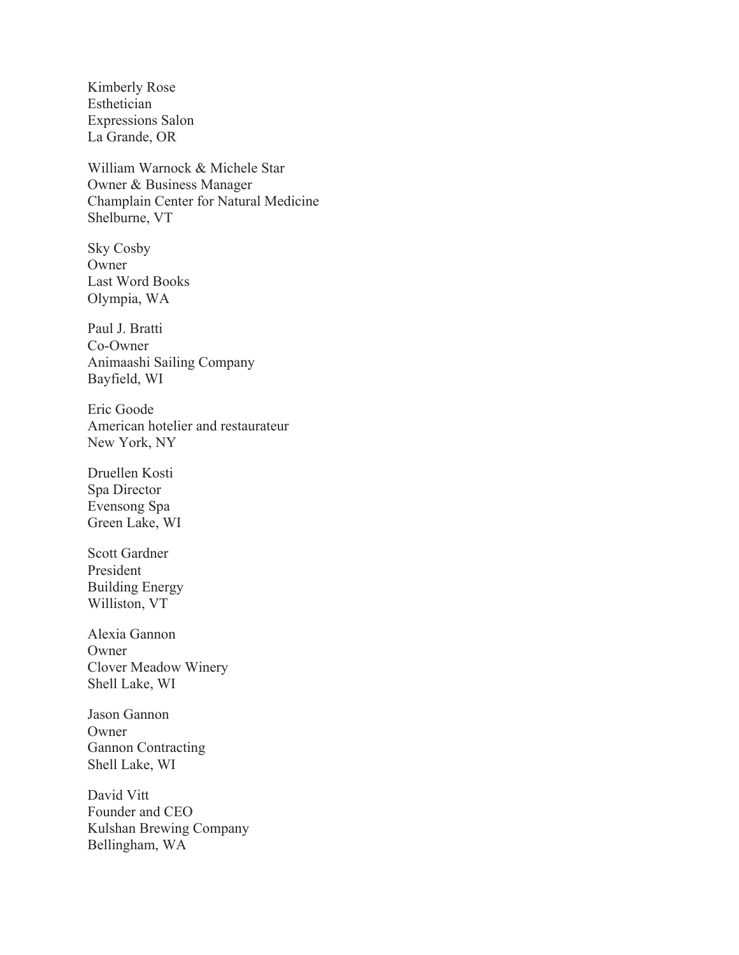Kimberly Rose Esthetician Expressions Salon La Grande, OR

William Warnock & Michele Star Owner & Business Manager Champlain Center for Natural Medicine Shelburne, VT

Sky Cosby Owner Last Word Books Olympia, WA

Paul J. Bratti Co-Owner Animaashi Sailing Company Bayfield, WI

Eric Goode American hotelier and restaurateur New York, NY

Druellen Kosti Spa Director Evensong Spa Green Lake, WI

Scott Gardner President Building Energy Williston, VT

Alexia Gannon Owner Clover Meadow Winery Shell Lake, WI

Jason Gannon Owner Gannon Contracting Shell Lake, WI

David Vitt Founder and CEO Kulshan Brewing Company Bellingham, WA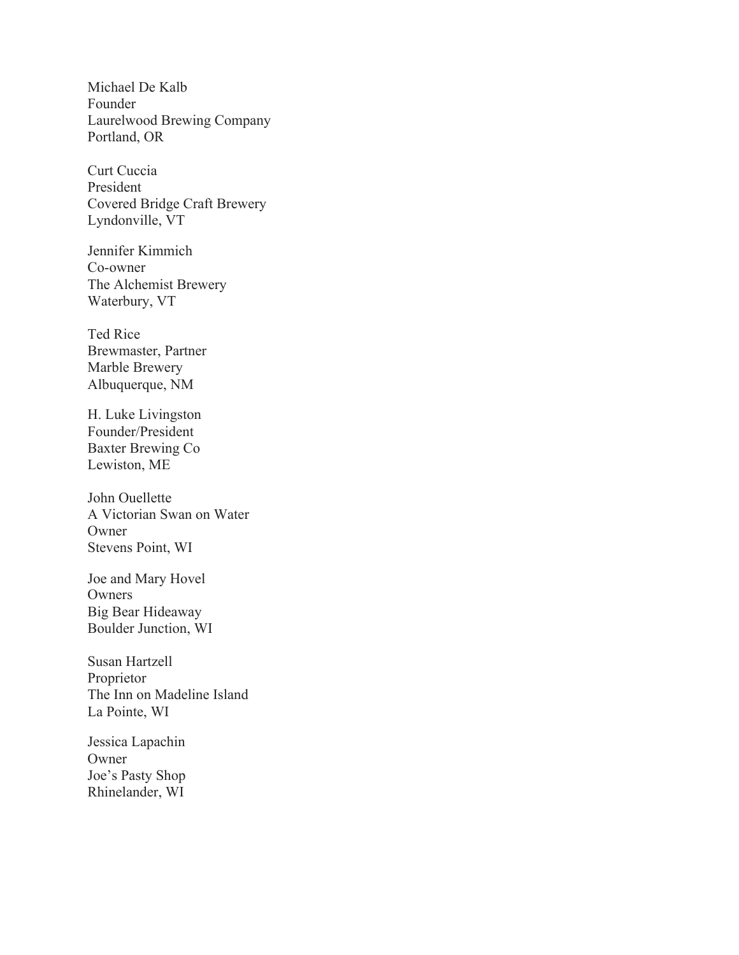Michael De Kalb Founder Laurelwood Brewing Company Portland, OR

Curt Cuccia President Covered Bridge Craft Brewery Lyndonville, VT

Jennifer Kimmich Co-owner The Alchemist Brewery Waterbury, VT

Ted Rice Brewmaster, Partner Marble Brewery Albuquerque, NM

H. Luke Livingston Founder/President Baxter Brewing Co Lewiston, ME

John Ouellette A Victorian Swan on Water Owner Stevens Point, WI

Joe and Mary Hovel Owners Big Bear Hideaway Boulder Junction, WI

Susan Hartzell Proprietor The Inn on Madeline Island La Pointe, WI

Jessica Lapachin **Owner** Joe's Pasty Shop Rhinelander, WI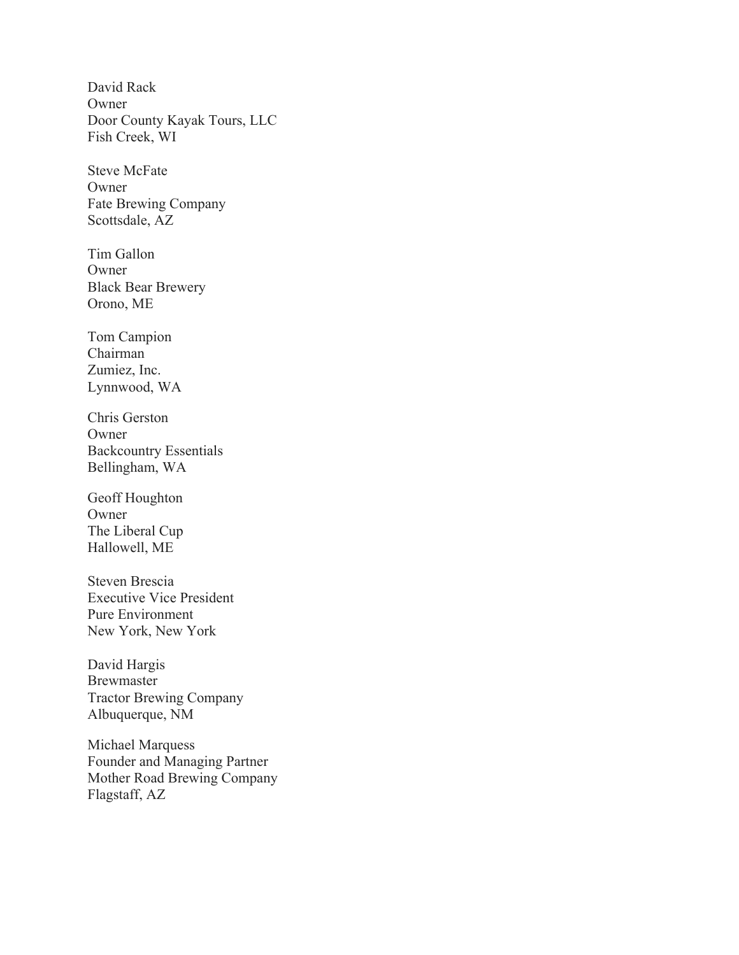David Rack **Owner** Door County Kayak Tours, LLC Fish Creek, WI

Steve McFate Owner Fate Brewing Company Scottsdale, AZ

Tim Gallon Owner Black Bear Brewery Orono, ME

Tom Campion Chairman Zumiez, Inc. Lynnwood, WA

Chris Gerston **Owner** Backcountry Essentials Bellingham, WA

Geoff Houghton Owner The Liberal Cup Hallowell, ME

Steven Brescia Executive Vice President Pure Environment New York, New York

David Hargis Brewmaster Tractor Brewing Company Albuquerque, NM

Michael Marquess Founder and Managing Partner Mother Road Brewing Company Flagstaff, AZ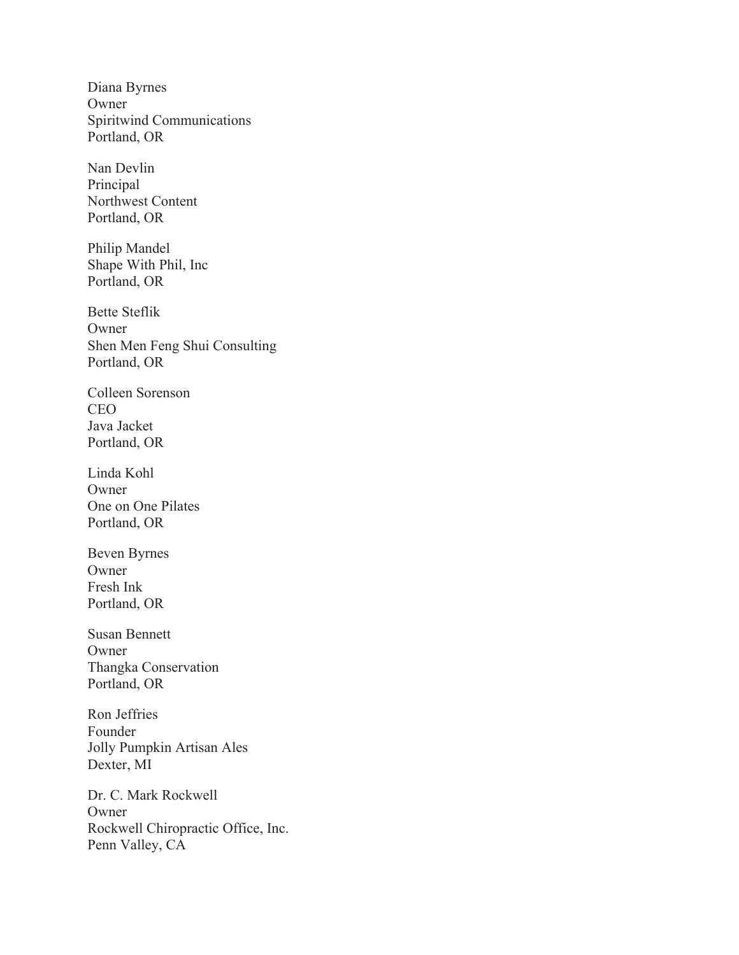Diana Byrnes Owner Spiritwind Communications Portland, OR

Nan Devlin Principal Northwest Content Portland, OR

Philip Mandel Shape With Phil, Inc Portland, OR

Bette Steflik Owner Shen Men Feng Shui Consulting Portland, OR

Colleen Sorenson CEO Java Jacket Portland, OR

Linda Kohl Owner One on One Pilates Portland, OR

Beven Byrnes Owner Fresh Ink Portland, OR

Susan Bennett Owner Thangka Conservation Portland, OR

Ron Jeffries Founder Jolly Pumpkin Artisan Ales Dexter, MI

Dr. C. Mark Rockwell Owner Rockwell Chiropractic Office, Inc. Penn Valley, CA